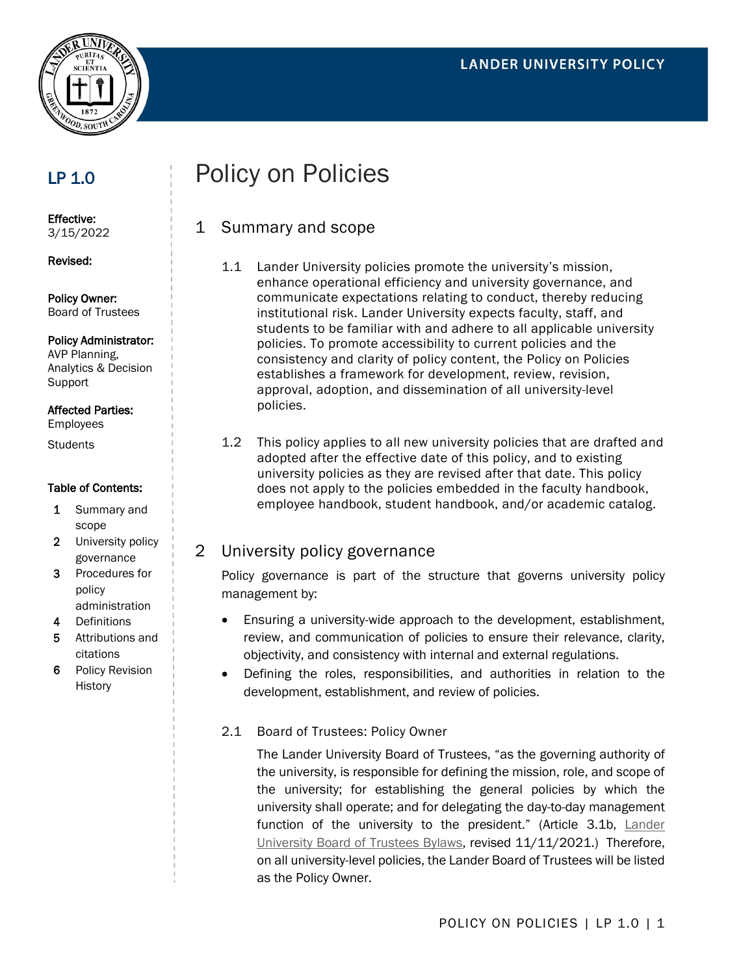

# LP 1.0

Effective: 3/15/2022

Revised:

Policy Owner: Board of Trustees

#### Policy Administrator:

AVP Planning, Analytics & Decision **Support** 

#### Affected Parties:

Employees

**Students** 

#### Table of Contents:

- 1 Summary and scope
- 2 University policy governance
- 3 Procedures for policy administration
- 4 Definitions
- 5 Attributions and citations
- 6 Policy Revision **History**

# Policy on Policies

## 1 Summary and scope

- 1.1 Lander University policies promote the university's mission, enhance operational efficiency and university governance, and communicate expectations relating to conduct, thereby reducing institutional risk. Lander University expects faculty, staff, and students to be familiar with and adhere to all applicable university policies. To promote accessibility to current policies and the consistency and clarity of policy content, the Policy on Policies establishes a framework for development, review, revision, approval, adoption, and dissemination of all university-level policies.
- 1.2 This policy applies to all new university policies that are drafted and adopted after the effective date of this policy, and to existing university policies as they are revised after that date. This policy does not apply to the policies embedded in the faculty handbook, employee handbook, student handbook, and/or academic catalog.

## 2 University policy governance

Policy governance is part of the structure that governs university policy management by:

- Ensuring a university-wide approach to the development, establishment, review, and communication of policies to ensure their relevance, clarity, objectivity, and consistency with internal and external regulations.
- Defining the roles, responsibilities, and authorities in relation to the development, establishment, and review of policies.
- 2.1 Board of Trustees: Policy Owner

The Lander University Board of Trustees, "as the governing authority of the university, is responsible for defining the mission, role, and scope of the university; for establishing the general policies by which the university shall operate; and for delegating the day-to-day management function of the university to the president." (Article 3.1b, [Lander](https://www.lander.edu/sites/default/files/Images/Renumbered%20Lander%20U%20Bylaws%20rev.%2011-11-21%5B20667%5D.pdf)  [University Board of Trustees Bylaws,](https://www.lander.edu/sites/default/files/Images/Renumbered%20Lander%20U%20Bylaws%20rev.%2011-11-21%5B20667%5D.pdf) revised 11/11/2021.) Therefore, on all university-level policies, the Lander Board of Trustees will be listed as the Policy Owner.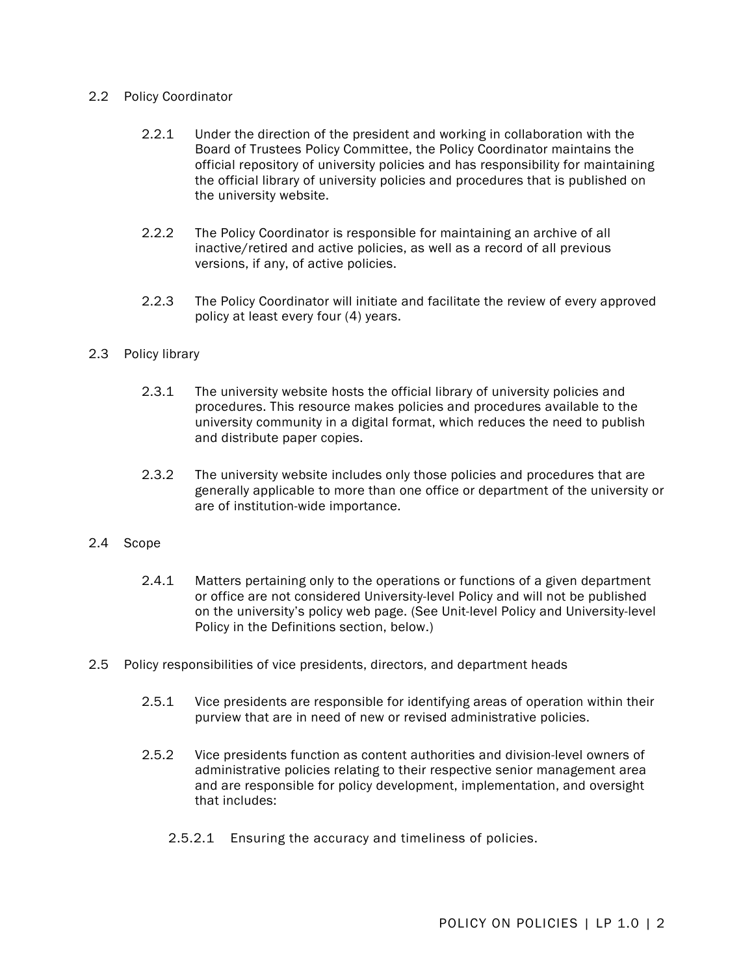#### 2.2 Policy Coordinator

- 2.2.1 Under the direction of the president and working in collaboration with the Board of Trustees Policy Committee, the Policy Coordinator maintains the official repository of university policies and has responsibility for maintaining the official library of university policies and procedures that is published on the university website.
- 2.2.2 The Policy Coordinator is responsible for maintaining an archive of all inactive/retired and active policies, as well as a record of all previous versions, if any, of active policies.
- 2.2.3 The Policy Coordinator will initiate and facilitate the review of every approved policy at least every four (4) years.

#### 2.3 Policy library

- 2.3.1 The university website hosts the official library of university policies and procedures. This resource makes policies and procedures available to the university community in a digital format, which reduces the need to publish and distribute paper copies.
- 2.3.2 The university website includes only those policies and procedures that are generally applicable to more than one office or department of the university or are of institution-wide importance.

#### 2.4 Scope

- 2.4.1 Matters pertaining only to the operations or functions of a given department or office are not considered University-level Policy and will not be published on the university's policy web page. (See Unit-level Policy and University-level Policy in the Definitions section, below.)
- 2.5 Policy responsibilities of vice presidents, directors, and department heads
	- 2.5.1 Vice presidents are responsible for identifying areas of operation within their purview that are in need of new or revised administrative policies.
	- 2.5.2 Vice presidents function as content authorities and division-level owners of administrative policies relating to their respective senior management area and are responsible for policy development, implementation, and oversight that includes:
		- 2.5.2.1 Ensuring the accuracy and timeliness of policies.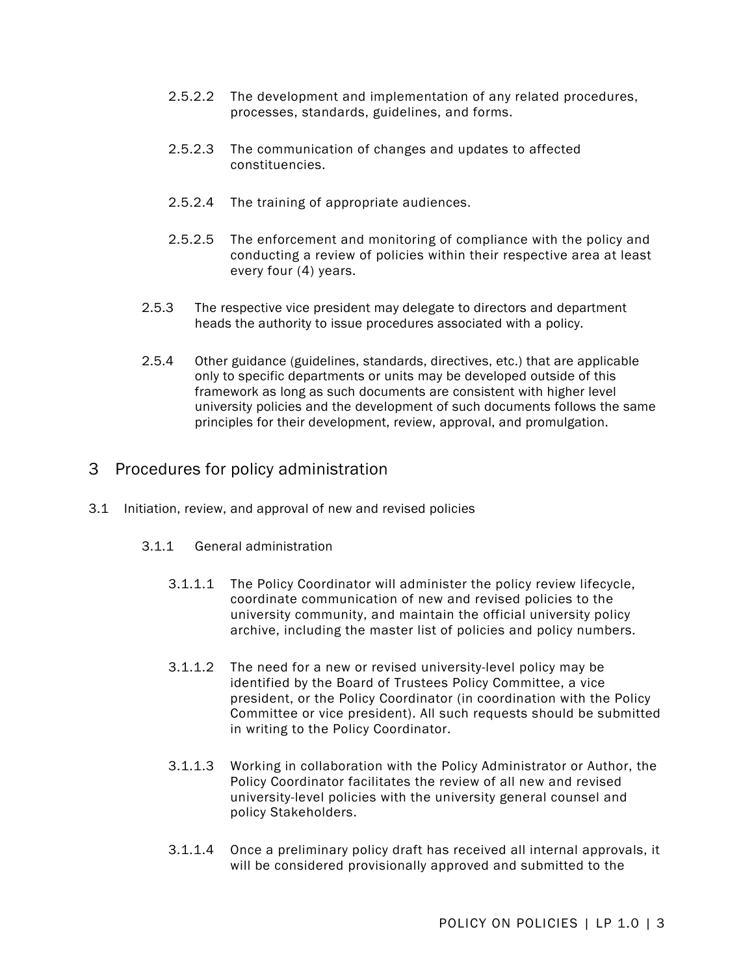- 2.5.2.2 The development and implementation of any related procedures, processes, standards, guidelines, and forms.
- 2.5.2.3 The communication of changes and updates to affected constituencies.
- 2.5.2.4 The training of appropriate audiences.
- 2.5.2.5 The enforcement and monitoring of compliance with the policy and conducting a review of policies within their respective area at least every four (4) years.
- 2.5.3 The respective vice president may delegate to directors and department heads the authority to issue procedures associated with a policy.
- 2.5.4 Other guidance (guidelines, standards, directives, etc.) that are applicable only to specific departments or units may be developed outside of this framework as long as such documents are consistent with higher level university policies and the development of such documents follows the same principles for their development, review, approval, and promulgation.

### 3 Procedures for policy administration

- 3.1 Initiation, review, and approval of new and revised policies
	- 3.1.1 General administration
		- 3.1.1.1 The Policy Coordinator will administer the policy review lifecycle, coordinate communication of new and revised policies to the university community, and maintain the official university policy archive, including the master list of policies and policy numbers.
		- 3.1.1.2 The need for a new or revised university-level policy may be identified by the Board of Trustees Policy Committee, a vice president, or the Policy Coordinator (in coordination with the Policy Committee or vice president). All such requests should be submitted in writing to the Policy Coordinator.
		- 3.1.1.3 Working in collaboration with the Policy Administrator or Author, the Policy Coordinator facilitates the review of all new and revised university-level policies with the university general counsel and policy Stakeholders.
		- 3.1.1.4 Once a preliminary policy draft has received all internal approvals, it will be considered provisionally approved and submitted to the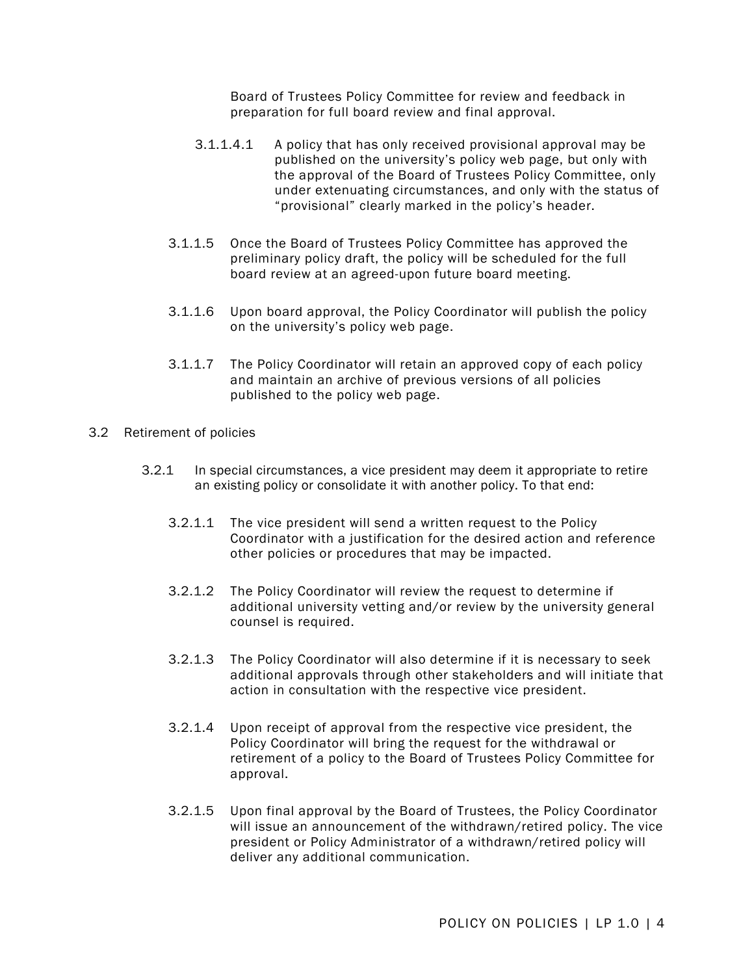Board of Trustees Policy Committee for review and feedback in preparation for full board review and final approval.

- 3.1.1.4.1 A policy that has only received provisional approval may be published on the university's policy web page, but only with the approval of the Board of Trustees Policy Committee, only under extenuating circumstances, and only with the status of "provisional" clearly marked in the policy's header.
- 3.1.1.5 Once the Board of Trustees Policy Committee has approved the preliminary policy draft, the policy will be scheduled for the full board review at an agreed-upon future board meeting.
- 3.1.1.6 Upon board approval, the Policy Coordinator will publish the policy on the university's policy web page.
- 3.1.1.7 The Policy Coordinator will retain an approved copy of each policy and maintain an archive of previous versions of all policies published to the policy web page.
- 3.2 Retirement of policies
	- 3.2.1 In special circumstances, a vice president may deem it appropriate to retire an existing policy or consolidate it with another policy. To that end:
		- 3.2.1.1 The vice president will send a written request to the Policy Coordinator with a justification for the desired action and reference other policies or procedures that may be impacted.
		- 3.2.1.2 The Policy Coordinator will review the request to determine if additional university vetting and/or review by the university general counsel is required.
		- 3.2.1.3 The Policy Coordinator will also determine if it is necessary to seek additional approvals through other stakeholders and will initiate that action in consultation with the respective vice president.
		- 3.2.1.4 Upon receipt of approval from the respective vice president, the Policy Coordinator will bring the request for the withdrawal or retirement of a policy to the Board of Trustees Policy Committee for approval.
		- 3.2.1.5 Upon final approval by the Board of Trustees, the Policy Coordinator will issue an announcement of the withdrawn/retired policy. The vice president or Policy Administrator of a withdrawn/retired policy will deliver any additional communication.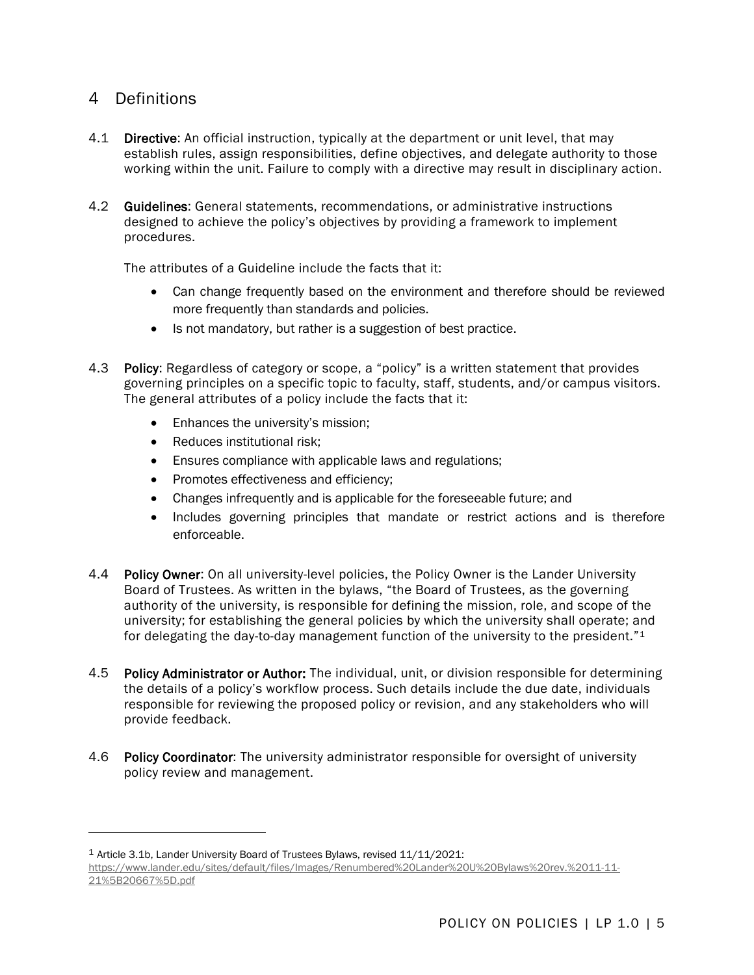## 4 Definitions

- 4.1 Directive: An official instruction, typically at the department or unit level, that may establish rules, assign responsibilities, define objectives, and delegate authority to those working within the unit. Failure to comply with a directive may result in disciplinary action.
- 4.2 Guidelines: General statements, recommendations, or administrative instructions designed to achieve the policy's objectives by providing a framework to implement procedures.

The attributes of a Guideline include the facts that it:

- Can change frequently based on the environment and therefore should be reviewed more frequently than standards and policies.
- Is not mandatory, but rather is a suggestion of best practice.
- 4.3 Policy: Regardless of category or scope, a "policy" is a written statement that provides governing principles on a specific topic to faculty, staff, students, and/or campus visitors. The general attributes of a policy include the facts that it:
	- Enhances the university's mission;
	- Reduces institutional risk;
	- Ensures compliance with applicable laws and regulations;
	- Promotes effectiveness and efficiency;
	- Changes infrequently and is applicable for the foreseeable future; and
	- Includes governing principles that mandate or restrict actions and is therefore enforceable.
- 4.4 Policy Owner: On all university-level policies, the Policy Owner is the Lander University Board of Trustees. As written in the bylaws, "the Board of Trustees, as the governing authority of the university, is responsible for defining the mission, role, and scope of the university; for establishing the general policies by which the university shall operate; and for delegating the day-to-day management function of the university to the president."[1](#page-4-0)
- 4.5 Policy Administrator or Author: The individual, unit, or division responsible for determining the details of a policy's workflow process. Such details include the due date, individuals responsible for reviewing the proposed policy or revision, and any stakeholders who will provide feedback.
- 4.6 Policy Coordinator: The university administrator responsible for oversight of university policy review and management.

<span id="page-4-0"></span><sup>1</sup> Article 3.1b, Lander University Board of Trustees Bylaws, revised 11/11/2021: [https://www.lander.edu/sites/default/files/Images/Renumbered%20Lander%20U%20Bylaws%20rev.%2011-11-](https://www.lander.edu/sites/default/files/Images/Renumbered%20Lander%20U%20Bylaws%20rev.%2011-11-21%5B20667%5D.pdf) [21%5B20667%5D.pdf](https://www.lander.edu/sites/default/files/Images/Renumbered%20Lander%20U%20Bylaws%20rev.%2011-11-21%5B20667%5D.pdf)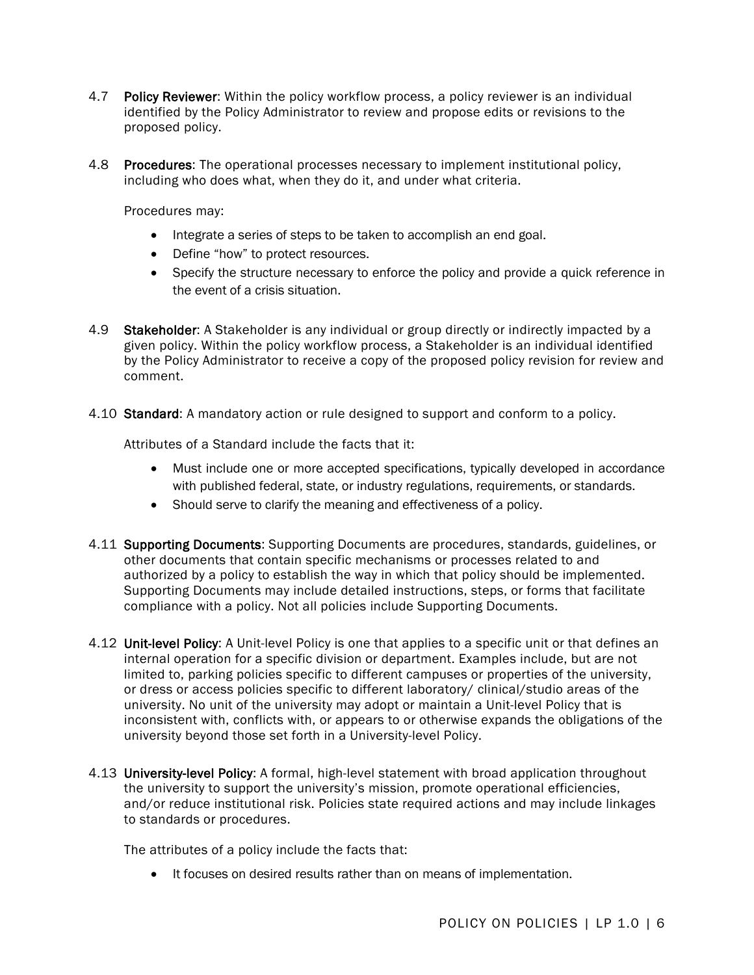- 4.7 Policy Reviewer: Within the policy workflow process, a policy reviewer is an individual identified by the Policy Administrator to review and propose edits or revisions to the proposed policy.
- 4.8 Procedures: The operational processes necessary to implement institutional policy, including who does what, when they do it, and under what criteria.

Procedures may:

- Integrate a series of steps to be taken to accomplish an end goal.
- Define "how" to protect resources.
- Specify the structure necessary to enforce the policy and provide a quick reference in the event of a crisis situation.
- 4.9 Stakeholder: A Stakeholder is any individual or group directly or indirectly impacted by a given policy. Within the policy workflow process, a Stakeholder is an individual identified by the Policy Administrator to receive a copy of the proposed policy revision for review and comment.
- 4.10 Standard: A mandatory action or rule designed to support and conform to a policy.

Attributes of a Standard include the facts that it:

- Must include one or more accepted specifications, typically developed in accordance with published federal, state, or industry regulations, requirements, or standards.
- Should serve to clarify the meaning and effectiveness of a policy.
- 4.11 Supporting Documents: Supporting Documents are procedures, standards, guidelines, or other documents that contain specific mechanisms or processes related to and authorized by a policy to establish the way in which that policy should be implemented. Supporting Documents may include detailed instructions, steps, or forms that facilitate compliance with a policy. Not all policies include Supporting Documents.
- 4.12 Unit-level Policy: A Unit-level Policy is one that applies to a specific unit or that defines an internal operation for a specific division or department. Examples include, but are not limited to, parking policies specific to different campuses or properties of the university, or dress or access policies specific to different laboratory/ clinical/studio areas of the university. No unit of the university may adopt or maintain a Unit-level Policy that is inconsistent with, conflicts with, or appears to or otherwise expands the obligations of the university beyond those set forth in a University-level Policy.
- 4.13 University-level Policy: A formal, high-level statement with broad application throughout the university to support the university's mission, promote operational efficiencies, and/or reduce institutional risk. Policies state required actions and may include linkages to standards or procedures.

The attributes of a policy include the facts that:

• It focuses on desired results rather than on means of implementation.